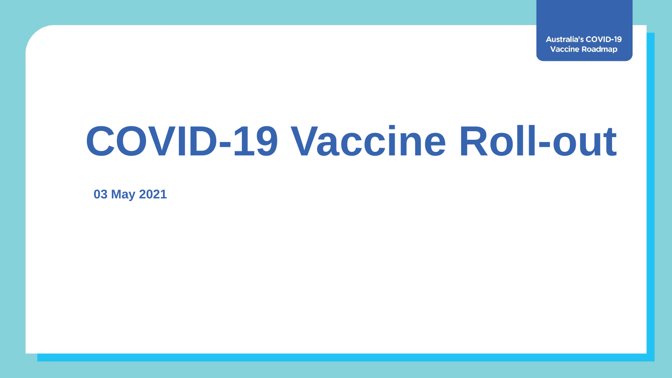**Australia's COVID-19 Vaccine Roadmap** 

# **COVID-19 Vaccine Roll-out**

**03 May 2021**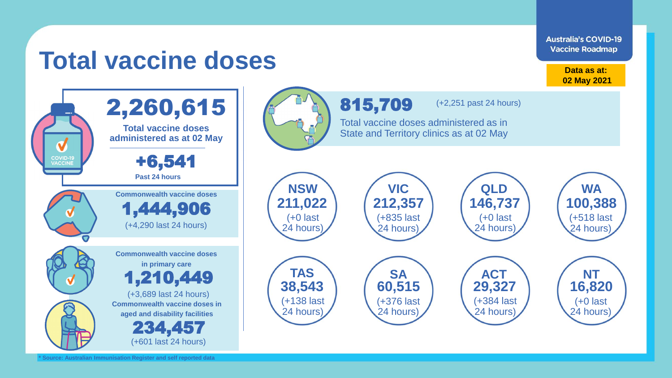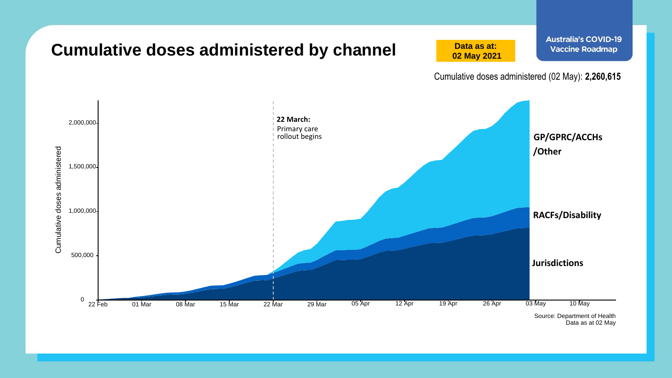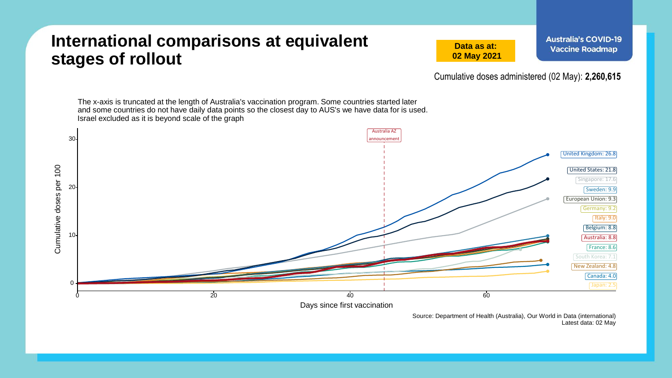### **International comparisons at equivalent stages of rollout**

**Data as at: 02 May 2021** **Australia's COVID-19 Vaccine Roadmap** 

Cumulative doses administered (02 May): **2,260,615**



Source: Department of Health (Australia), Our World in Data (international) Latest data: 02 May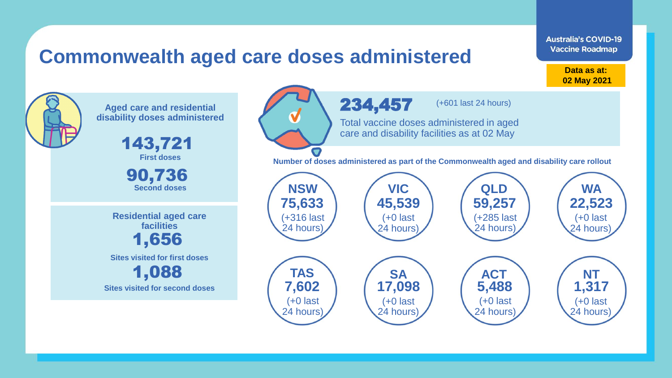### **Commonwealth aged care doses administered**

**Data as at: Data as at: 18 Apr 2021 02 May 2021**

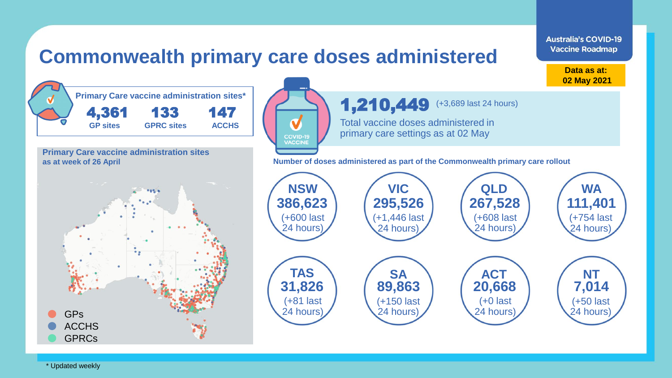

\* Updated weekly